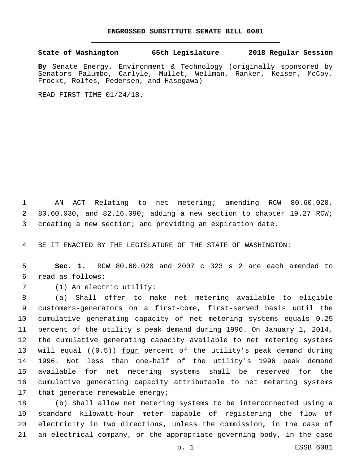## **ENGROSSED SUBSTITUTE SENATE BILL 6081**

**State of Washington 65th Legislature 2018 Regular Session**

**By** Senate Energy, Environment & Technology (originally sponsored by Senators Palumbo, Carlyle, Mullet, Wellman, Ranker, Keiser, McCoy, Frockt, Rolfes, Pedersen, and Hasegawa)

READ FIRST TIME 01/24/18.

 AN ACT Relating to net metering; amending RCW 80.60.020, 80.60.030, and 82.16.090; adding a new section to chapter 19.27 RCW; creating a new section; and providing an expiration date.

BE IT ENACTED BY THE LEGISLATURE OF THE STATE OF WASHINGTON:

 **Sec. 1.** RCW 80.60.020 and 2007 c 323 s 2 are each amended to read as follows:6

7 (1) An electric utility:

 (a) Shall offer to make net metering available to eligible customers-generators on a first-come, first-served basis until the cumulative generating capacity of net metering systems equals 0.25 percent of the utility's peak demand during 1996. On January 1, 2014, the cumulative generating capacity available to net metering systems 13 will equal ((0.5)) <u>four</u> percent of the utility's peak demand during 1996. Not less than one-half of the utility's 1996 peak demand available for net metering systems shall be reserved for the cumulative generating capacity attributable to net metering systems 17 that generate renewable energy;

 (b) Shall allow net metering systems to be interconnected using a standard kilowatt-hour meter capable of registering the flow of electricity in two directions, unless the commission, in the case of an electrical company, or the appropriate governing body, in the case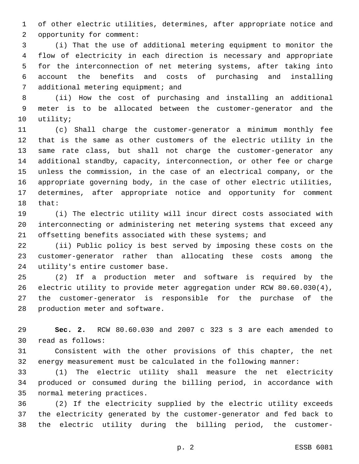of other electric utilities, determines, after appropriate notice and 2 opportunity for comment:

 (i) That the use of additional metering equipment to monitor the flow of electricity in each direction is necessary and appropriate for the interconnection of net metering systems, after taking into account the benefits and costs of purchasing and installing 7 additional metering equipment; and

 (ii) How the cost of purchasing and installing an additional meter is to be allocated between the customer-generator and the 10 utility;

 (c) Shall charge the customer-generator a minimum monthly fee that is the same as other customers of the electric utility in the same rate class, but shall not charge the customer-generator any additional standby, capacity, interconnection, or other fee or charge unless the commission, in the case of an electrical company, or the appropriate governing body, in the case of other electric utilities, determines, after appropriate notice and opportunity for comment 18 that:

 (i) The electric utility will incur direct costs associated with interconnecting or administering net metering systems that exceed any 21 offsetting benefits associated with these systems; and

 (ii) Public policy is best served by imposing these costs on the customer-generator rather than allocating these costs among the 24 utility's entire customer base.

 (2) If a production meter and software is required by the electric utility to provide meter aggregation under RCW 80.60.030(4), the customer-generator is responsible for the purchase of the 28 production meter and software.

 **Sec. 2.** RCW 80.60.030 and 2007 c 323 s 3 are each amended to 30 read as follows:

 Consistent with the other provisions of this chapter, the net energy measurement must be calculated in the following manner:

 (1) The electric utility shall measure the net electricity produced or consumed during the billing period, in accordance with 35 normal metering practices.

 (2) If the electricity supplied by the electric utility exceeds the electricity generated by the customer-generator and fed back to the electric utility during the billing period, the customer-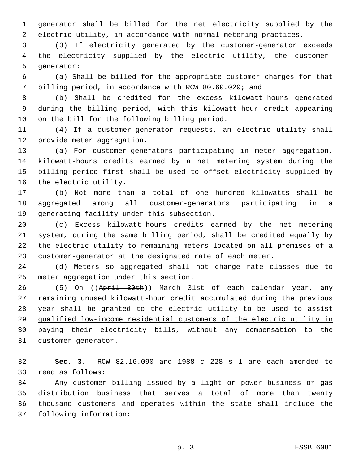generator shall be billed for the net electricity supplied by the electric utility, in accordance with normal metering practices.

 (3) If electricity generated by the customer-generator exceeds the electricity supplied by the electric utility, the customer-5 generator:

 (a) Shall be billed for the appropriate customer charges for that billing period, in accordance with RCW 80.60.020; and

 (b) Shall be credited for the excess kilowatt-hours generated during the billing period, with this kilowatt-hour credit appearing 10 on the bill for the following billing period.

 (4) If a customer-generator requests, an electric utility shall 12 provide meter aggregation.

 (a) For customer-generators participating in meter aggregation, kilowatt-hours credits earned by a net metering system during the billing period first shall be used to offset electricity supplied by 16 the electric utility.

 (b) Not more than a total of one hundred kilowatts shall be aggregated among all customer-generators participating in a 19 generating facility under this subsection.

 (c) Excess kilowatt-hours credits earned by the net metering system, during the same billing period, shall be credited equally by the electric utility to remaining meters located on all premises of a customer-generator at the designated rate of each meter.

 (d) Meters so aggregated shall not change rate classes due to 25 meter aggregation under this section.

26 (5) On ((April 30th)) March 31st of each calendar year, any remaining unused kilowatt-hour credit accumulated during the previous 28 year shall be granted to the electric utility to be used to assist qualified low-income residential customers of the electric utility in paying their electricity bills, without any compensation to the 31 customer-generator.

 **Sec. 3.** RCW 82.16.090 and 1988 c 228 s 1 are each amended to 33 read as follows:

 Any customer billing issued by a light or power business or gas distribution business that serves a total of more than twenty thousand customers and operates within the state shall include the 37 following information: